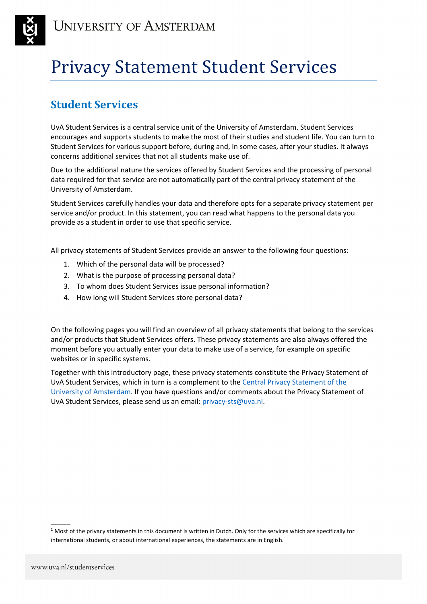

# Privacy Statement Student Services

# **Student Services**

UvA Student Services is a central service unit of the University of Amsterdam. Student Services encourages and supports students to make the most of their studies and student life. You can turn to Student Services for various support before, during and, in some cases, after your studies. It always concerns additional services that not all students make use of.

Due to the additional nature the services offered by Student Services and the processing of personal data required for that service are not automatically part of the central privacy statement of the University of Amsterdam.

Student Services carefully handles your data and therefore opts for a separate privacy statement per service and/or product. In this statement, you can read what happens to the personal data you provide as a student in order to use that specific service.

All privacy statements of Student Services provide an answer to the following four questions:

- 1. Which of the personal data will be processed?
- 2. What is the purpose of processing personal data?
- 3. To whom does Student Services issue personal information?
- 4. How long will Student Services store personal data?

On the following pages you will find an overview of all privacy statements that belong to the services and/or products that Student Services offers. These privacy statements are also always offered the moment before you actually enter your data to make use of a service, for example on specific websites or in specific systems.

Together with this introductory page, these privacy statements constitute the Privacy Statement of UvA Student Services, which in turn is a complement to the [Central Privacy Statement of the](https://www.uva.nl/en/home/disclaimers/disclaimer.html)  [University of Amsterdam.](https://www.uva.nl/en/home/disclaimers/disclaimer.html) If you have questions and/or comments about the Privacy Statement of UvA Student Services, please send us an email: [privacy-sts@uva.nl.](mailto:privacy-sts@uva.nl)

 $\overline{\phantom{a}}$ 

 $1$  Most of the privacy statements in this document is written in Dutch. Only for the services which are specifically for international students, or about international experiences, the statements are in English.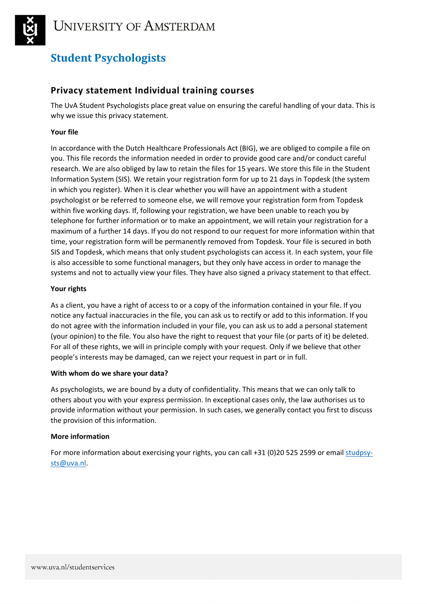

# **Student Psychologists**

### **Privacy statement Individual training courses**

The UvA Student Psychologists place great value on ensuring the careful handling of your data. This is why we issue this privacy statement.

### **Your file**

In accordance with the Dutch Healthcare Professionals Act (BIG), we are obliged to compile a file on you. This file records the information needed in order to provide good care and/or conduct careful research. We are also obliged by law to retain the files for 15 years. We store this file in the Student Information System (SIS). We retain your registration form for up to 21 days in Topdesk (the system in which you register). When it is clear whether you will have an appointment with a student psychologist or be referred to someone else, we will remove your registration form from Topdesk within five working days. If, following your registration, we have been unable to reach you by telephone for further information or to make an appointment, we will retain your registration for a maximum of a further 14 days. If you do not respond to our request for more information within that time, your registration form will be permanently removed from Topdesk. Your file is secured in both SIS and Topdesk, which means that only student psychologists can access it. In each system, your file is also accessible to some functional managers, but they only have access in order to manage the systems and not to actually view your files. They have also signed a privacy statement to that effect.

### **Your rights**

As a client, you have a right of access to or a copy of the information contained in your file. If you notice any factual inaccuracies in the file, you can ask us to rectify or add to this information. If you do not agree with the information included in your file, you can ask us to add a personal statement (your opinion) to the file. You also have the right to request that your file (or parts of it) be deleted. For all of these rights, we will in principle comply with your request. Only if we believe that other people's interests may be damaged, can we reject your request in part or in full.

### **With whom do we share your data?**

As psychologists, we are bound by a duty of confidentiality. This means that we can only talk to others about you with your express permission. In exceptional cases only, the law authorises us to provide information without your permission. In such cases, we generally contact you first to discuss the provision of this information.

### **More information**

For more information about exercising your rights, you can call +31 (0)20 525 2599 or email [studpsy](mailto:studpsy-sts@uva.nl)[sts@uva.nl.](mailto:studpsy-sts@uva.nl)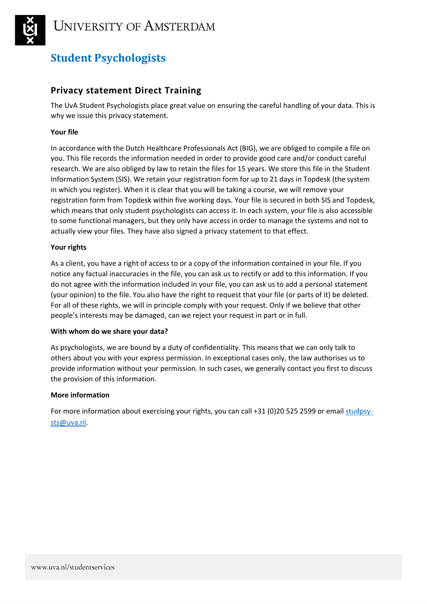

# **Student Psychologists**

### **Privacy statement Direct Training**

The UvA Student Psychologists place great value on ensuring the careful handling of your data. This is why we issue this privacy statement.

### **Your file**

In accordance with the Dutch Healthcare Professionals Act (BIG), we are obliged to compile a file on you. This file records the information needed in order to provide good care and/or conduct careful research. We are also obliged by law to retain the files for 15 years. We store this file in the Student Information System (SIS). We retain your registration form for up to 21 days in Topdesk (the system in which you register). When it is clear that you will be taking a course, we will remove your registration form from Topdesk within five working days. Your file is secured in both SIS and Topdesk, which means that only student psychologists can access it. In each system, your file is also accessible to some functional managers, but they only have access in order to manage the systems and not to actually view your files. They have also signed a privacy statement to that effect.

### **Your rights**

As a client, you have a right of access to or a copy of the information contained in your file. If you notice any factual inaccuracies in the file, you can ask us to rectify or add to this information. If you do not agree with the information included in your file, you can ask us to add a personal statement (your opinion) to the file. You also have the right to request that your file (or parts of it) be deleted. For all of these rights, we will in principle comply with your request. Only if we believe that other people's interests may be damaged, can we reject your request in part or in full.

### **With whom do we share your data?**

As psychologists, we are bound by a duty of confidentiality. This means that we can only talk to others about you with your express permission. In exceptional cases only, the law authorises us to provide information without your permission. In such cases, we generally contact you first to discuss the provision of this information.

### **More information**

For more information about exercising your rights, you can call +31 (0)20 525 2599 or email [studpsy](mailto:studpsy-sts@uva.nl)[sts@uva.nl.](mailto:studpsy-sts@uva.nl)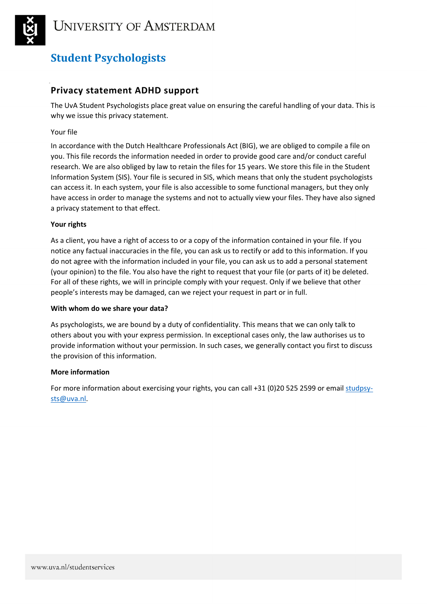

# **Student Psychologists**

### **Privacy statement ADHD support**

The UvA Student Psychologists place great value on ensuring the careful handling of your data. This is why we issue this privacy statement.

### Your file

In accordance with the Dutch Healthcare Professionals Act (BIG), we are obliged to compile a file on you. This file records the information needed in order to provide good care and/or conduct careful research. We are also obliged by law to retain the files for 15 years. We store this file in the Student Information System (SIS). Your file is secured in SIS, which means that only the student psychologists can access it. In each system, your file is also accessible to some functional managers, but they only have access in order to manage the systems and not to actually view your files. They have also signed a privacy statement to that effect.

### **Your rights**

As a client, you have a right of access to or a copy of the information contained in your file. If you notice any factual inaccuracies in the file, you can ask us to rectify or add to this information. If you do not agree with the information included in your file, you can ask us to add a personal statement (your opinion) to the file. You also have the right to request that your file (or parts of it) be deleted. For all of these rights, we will in principle comply with your request. Only if we believe that other people's interests may be damaged, can we reject your request in part or in full.

### **With whom do we share your data?**

As psychologists, we are bound by a duty of confidentiality. This means that we can only talk to others about you with your express permission. In exceptional cases only, the law authorises us to provide information without your permission. In such cases, we generally contact you first to discuss the provision of this information.

### **More information**

For more information about exercising your rights, you can call +31 (0)20 525 2599 or email [studpsy](mailto:studpsy-sts@uva.nl)[sts@uva.nl.](mailto:studpsy-sts@uva.nl)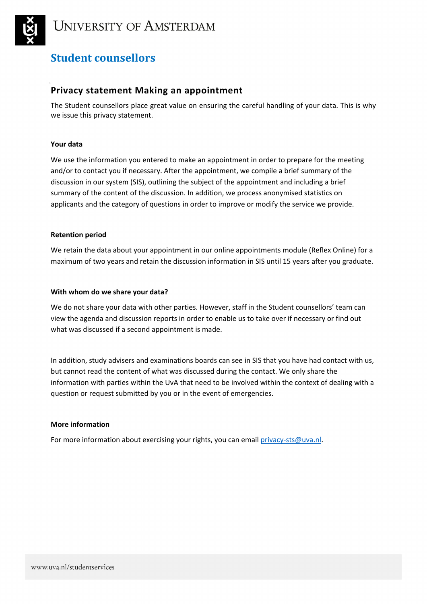

# **Student counsellors**

### **Privacy statement Making an appointment**

The Student counsellors place great value on ensuring the careful handling of your data. This is why we issue this privacy statement.

### **Your data**

We use the information you entered to make an appointment in order to prepare for the meeting and/or to contact you if necessary. After the appointment, we compile a brief summary of the discussion in our system (SIS), outlining the subject of the appointment and including a brief summary of the content of the discussion. In addition, we process anonymised statistics on applicants and the category of questions in order to improve or modify the service we provide.

### **Retention period**

We retain the data about your appointment in our online appointments module (Reflex Online) for a maximum of two years and retain the discussion information in SIS until 15 years after you graduate.

### **With whom do we share your data?**

We do not share your data with other parties. However, staff in the Student counsellors' team can view the agenda and discussion reports in order to enable us to take over if necessary or find out what was discussed if a second appointment is made.

In addition, study advisers and examinations boards can see in SIS that you have had contact with us, but cannot read the content of what was discussed during the contact. We only share the information with parties within the UvA that need to be involved within the context of dealing with a question or request submitted by you or in the event of emergencies.

### **More information**

For more information about exercising your rights, you can emai[l privacy-sts@uva.nl.](mailto:privacy-sts@uva.nl)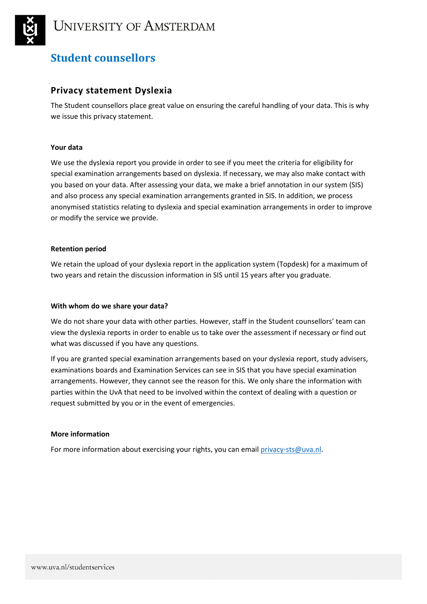

# **Student counsellors**

### **Privacy statement Dyslexia**

The Student counsellors place great value on ensuring the careful handling of your data. This is why we issue this privacy statement.

### **Your data**

We use the dyslexia report you provide in order to see if you meet the criteria for eligibility for special examination arrangements based on dyslexia. If necessary, we may also make contact with you based on your data. After assessing your data, we make a brief annotation in our system (SIS) and also process any special examination arrangements granted in SIS. In addition, we process anonymised statistics relating to dyslexia and special examination arrangements in order to improve or modify the service we provide.

### **Retention period**

We retain the upload of your dyslexia report in the application system (Topdesk) for a maximum of two years and retain the discussion information in SIS until 15 years after you graduate.

### **With whom do we share your data?**

We do not share your data with other parties. However, staff in the Student counsellors' team can view the dyslexia reports in order to enable us to take over the assessment if necessary or find out what was discussed if you have any questions.

If you are granted special examination arrangements based on your dyslexia report, study advisers, examinations boards and Examination Services can see in SIS that you have special examination arrangements. However, they cannot see the reason for this. We only share the information with parties within the UvA that need to be involved within the context of dealing with a question or request submitted by you or in the event of emergencies.

### **More information**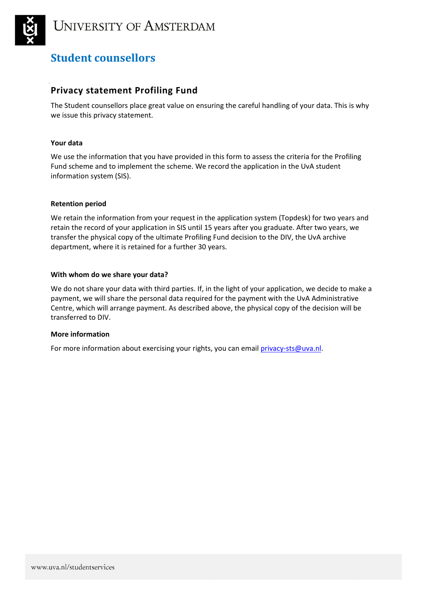

# **Student counsellors**

### **Privacy statement Profiling Fund**

The Student counsellors place great value on ensuring the careful handling of your data. This is why we issue this privacy statement.

### **Your data**

We use the information that you have provided in this form to assess the criteria for the Profiling Fund scheme and to implement the scheme. We record the application in the UvA student information system (SIS).

### **Retention period**

We retain the information from your request in the application system (Topdesk) for two years and retain the record of your application in SIS until 15 years after you graduate. After two years, we transfer the physical copy of the ultimate Profiling Fund decision to the DIV, the UvA archive department, where it is retained for a further 30 years.

### **With whom do we share your data?**

We do not share your data with third parties. If, in the light of your application, we decide to make a payment, we will share the personal data required for the payment with the UvA Administrative Centre, which will arrange payment. As described above, the physical copy of the decision will be transferred to DIV.

### **More information**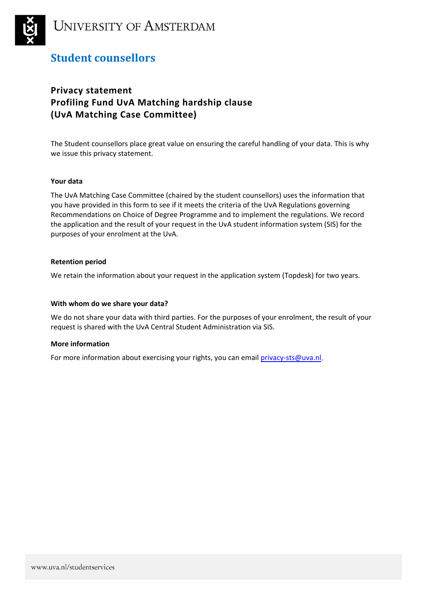

# **UNIVERSITY OF AMSTERDAM**

# **Student counsellors**

# **Privacy statement Profiling Fund UvA Matching hardship clause (UvA Matching Case Committee)**

The Student counsellors place great value on ensuring the careful handling of your data. This is why we issue this privacy statement.

### **Your data**

The UvA Matching Case Committee (chaired by the student counsellors) uses the information that you have provided in this form to see if it meets the criteria of the UvA Regulations governing Recommendations on Choice of Degree Programme and to implement the regulations. We record the application and the result of your request in the UvA student information system (SIS) for the purposes of your enrolment at the UvA.

### **Retention period**

We retain the information about your request in the application system (Topdesk) for two years.

### **With whom do we share your data?**

We do not share your data with third parties. For the purposes of your enrolment, the result of your request is shared with the UvA Central Student Administration via SIS.

### **More information**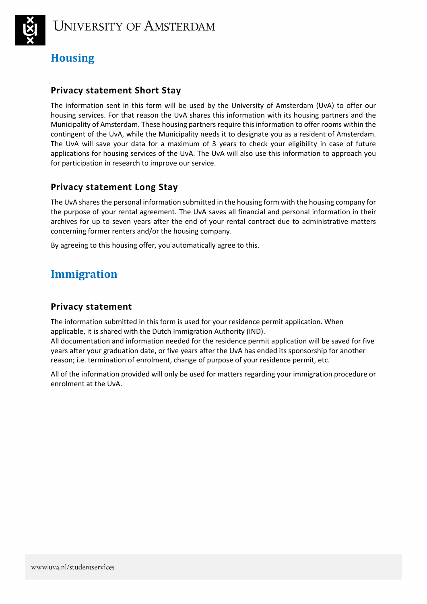

# **Housing**

### **Privacy statement Short Stay**

The information sent in this form will be used by the University of Amsterdam (UvA) to offer our housing services. For that reason the UvA shares this information with its housing partners and the Municipality of Amsterdam. These housing partners require this information to offer rooms within the contingent of the UvA, while the Municipality needs it to designate you as a resident of Amsterdam. The UvA will save your data for a maximum of 3 years to check your eligibility in case of future applications for housing services of the UvA. The UvA will also use this information to approach you for participation in research to improve our service.

### **Privacy statement Long Stay**

The UvA shares the personal information submitted in the housing form with the housing company for the purpose of your rental agreement. The UvA saves all financial and personal information in their archives for up to seven years after the end of your rental contract due to administrative matters concerning former renters and/or the housing company.

By agreeing to this housing offer, you automatically agree to this.

# **Immigration**

### **Privacy statement**

The information submitted in this form is used for your residence permit application. When applicable, it is shared with the Dutch Immigration Authority (IND).

All documentation and information needed for the residence permit application will be saved for five years after your graduation date, or five years after the UvA has ended its sponsorship for another reason; i.e. termination of enrolment, change of purpose of your residence permit, etc.

All of the information provided will only be used for matters regarding your immigration procedure or enrolment at the UvA.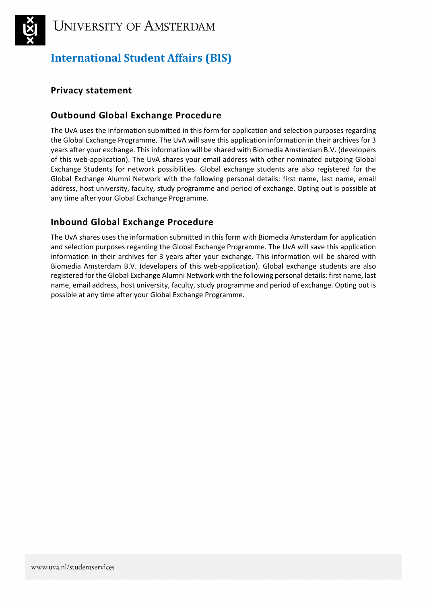

# **International Student Affairs (BIS)**

## **Privacy statement**

### **Outbound Global Exchange Procedure**

The UvA uses the information submitted in this form for application and selection purposes regarding the Global Exchange Programme. The UvA will save this application information in their archives for 3 years after your exchange. This information will be shared with Biomedia Amsterdam B.V. (developers of this web-application). The UvA shares your email address with other nominated outgoing Global Exchange Students for network possibilities. Global exchange students are also registered for the Global Exchange Alumni Network with the following personal details: first name, last name, email address, host university, faculty, study programme and period of exchange. Opting out is possible at any time after your Global Exchange Programme.

## **Inbound Global Exchange Procedure**

The UvA shares uses the information submitted in this form with Biomedia Amsterdam for application and selection purposes regarding the Global Exchange Programme. The UvA will save this application information in their archives for 3 years after your exchange. This information will be shared with Biomedia Amsterdam B.V. (developers of this web-application). Global exchange students are also registered for the Global Exchange Alumni Network with the following personal details: first name, last name, email address, host university, faculty, study programme and period of exchange. Opting out is possible at any time after your Global Exchange Programme.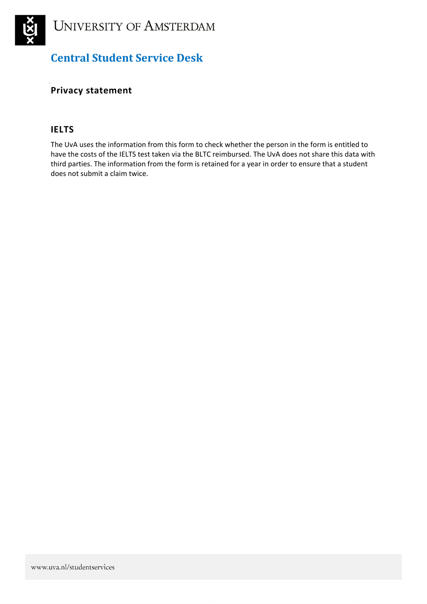

# **Central Student Service Desk**

### **Privacy statement**

### **IELTS**

The UvA uses the information from this form to check whether the person in the form is entitled to have the costs of the IELTS test taken via the BLTC reimbursed. The UvA does not share this data with third parties. The information from the form is retained for a year in order to ensure that a student does not submit a claim twice.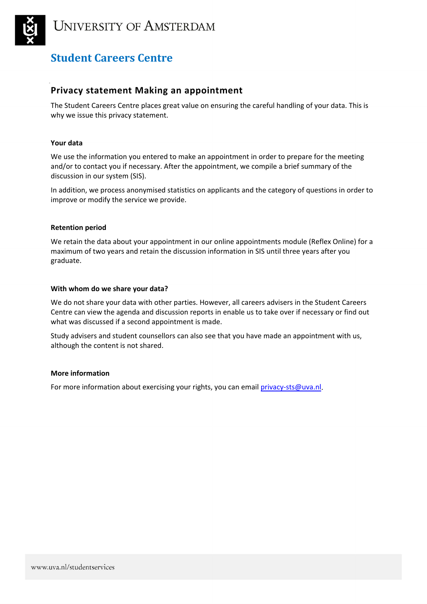

### **Privacy statement Making an appointment**

The Student Careers Centre places great value on ensuring the careful handling of your data. This is why we issue this privacy statement.

### **Your data**

We use the information you entered to make an appointment in order to prepare for the meeting and/or to contact you if necessary. After the appointment, we compile a brief summary of the discussion in our system (SIS).

In addition, we process anonymised statistics on applicants and the category of questions in order to improve or modify the service we provide.

### **Retention period**

We retain the data about your appointment in our online appointments module (Reflex Online) for a maximum of two years and retain the discussion information in SIS until three years after you graduate.

#### **With whom do we share your data?**

We do not share your data with other parties. However, all careers advisers in the Student Careers Centre can view the agenda and discussion reports in enable us to take over if necessary or find out what was discussed if a second appointment is made.

Study advisers and student counsellors can also see that you have made an appointment with us, although the content is not shared.

### **More information**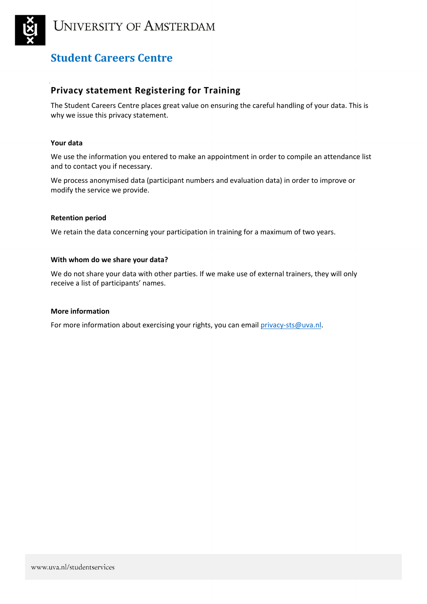

### **Privacy statement Registering for Training**

The Student Careers Centre places great value on ensuring the careful handling of your data. This is why we issue this privacy statement.

### **Your data**

We use the information you entered to make an appointment in order to compile an attendance list and to contact you if necessary.

We process anonymised data (participant numbers and evaluation data) in order to improve or modify the service we provide.

### **Retention period**

We retain the data concerning your participation in training for a maximum of two years.

#### **With whom do we share your data?**

We do not share your data with other parties. If we make use of external trainers, they will only receive a list of participants' names.

### **More information**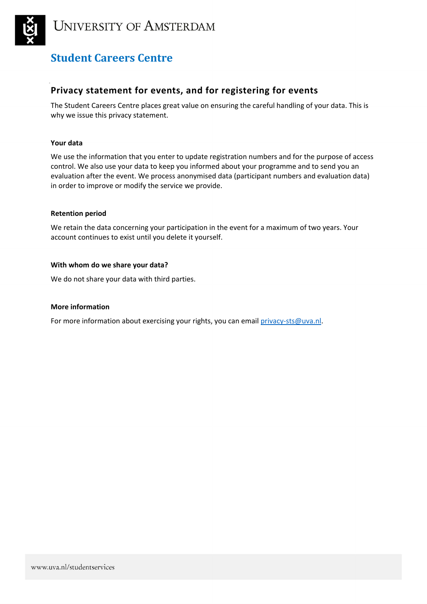

### **Privacy statement for events, and for registering for events**

The Student Careers Centre places great value on ensuring the careful handling of your data. This is why we issue this privacy statement.

### **Your data**

We use the information that you enter to update registration numbers and for the purpose of access control. We also use your data to keep you informed about your programme and to send you an evaluation after the event. We process anonymised data (participant numbers and evaluation data) in order to improve or modify the service we provide.

### **Retention period**

We retain the data concerning your participation in the event for a maximum of two years. Your account continues to exist until you delete it yourself.

### **With whom do we share your data?**

We do not share your data with third parties.

### **More information**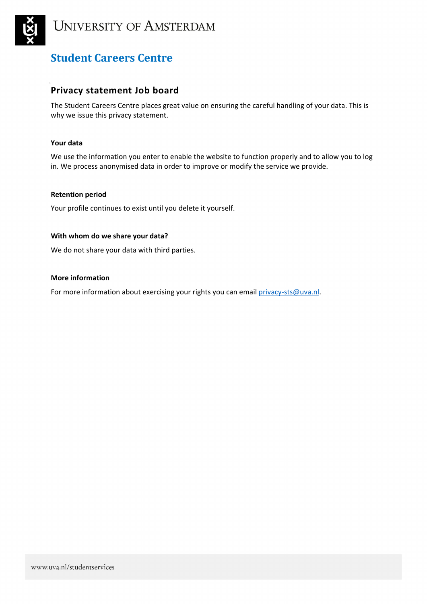

### **Privacy statement Job board**

The Student Careers Centre places great value on ensuring the careful handling of your data. This is why we issue this privacy statement.

### **Your data**

We use the information you enter to enable the website to function properly and to allow you to log in. We process anonymised data in order to improve or modify the service we provide.

### **Retention period**

Your profile continues to exist until you delete it yourself.

#### **With whom do we share your data?**

We do not share your data with third parties.

#### **More information**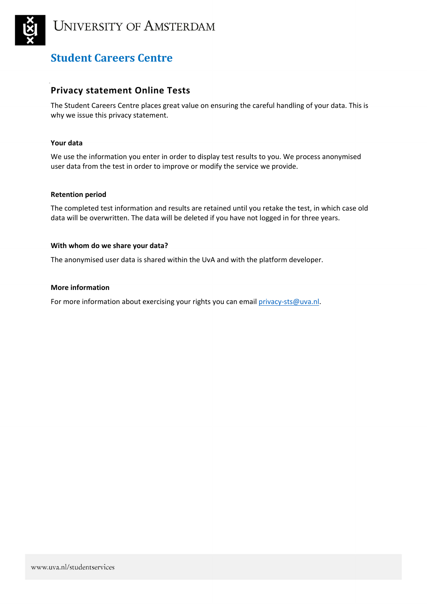

### **Privacy statement Online Tests**

The Student Careers Centre places great value on ensuring the careful handling of your data. This is why we issue this privacy statement.

### **Your data**

We use the information you enter in order to display test results to you. We process anonymised user data from the test in order to improve or modify the service we provide.

### **Retention period**

The completed test information and results are retained until you retake the test, in which case old data will be overwritten. The data will be deleted if you have not logged in for three years.

### **With whom do we share your data?**

The anonymised user data is shared within the UvA and with the platform developer.

### **More information**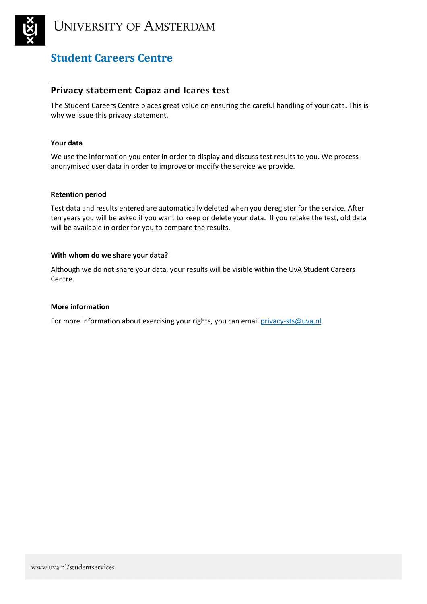

### **Privacy statement Capaz and Icares test**

The Student Careers Centre places great value on ensuring the careful handling of your data. This is why we issue this privacy statement.

### **Your data**

We use the information you enter in order to display and discuss test results to you. We process anonymised user data in order to improve or modify the service we provide.

### **Retention period**

Test data and results entered are automatically deleted when you deregister for the service. After ten years you will be asked if you want to keep or delete your data. If you retake the test, old data will be available in order for you to compare the results.

#### **With whom do we share your data?**

Although we do not share your data, your results will be visible within the UvA Student Careers Centre.

### **More information**